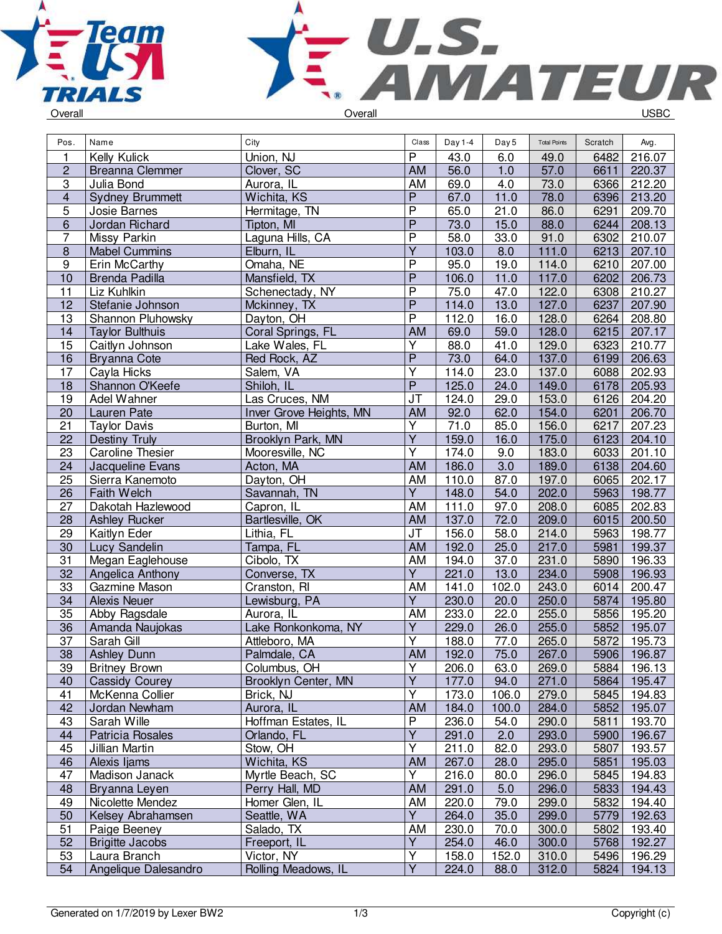



| Pos.                    | Name                                 | City                              | Class                   | Day 1-4        | Day 5         | <b>Total Points</b> | Scratch      | Avg.             |
|-------------------------|--------------------------------------|-----------------------------------|-------------------------|----------------|---------------|---------------------|--------------|------------------|
| 1                       | Kelly Kulick                         | Union, NJ                         | $\overline{P}$          | 43.0           | 6.0           | 49.0                | 6482         | 216.07           |
| $\overline{c}$          | <b>Breanna Clemmer</b>               | Clover, SC                        | AM                      | 56.0           | 1.0           | 57.0                | 6611         | 220.37           |
| $\overline{3}$          | Julia Bond                           | Aurora, IL                        | AM                      | 69.0           | 4.0           | 73.0                | 6366         | 212.20           |
| $\overline{\mathbf{4}}$ | <b>Sydney Brummett</b>               | Wichita, KS                       | $\overline{P}$          | 67.0           | 11.0          | 78.0                | 6396         | 213.20           |
| 5                       | Josie Barnes                         | Hermitage, TN                     | $\overline{P}$          | 65.0           | 21.0          | 86.0                | 6291         | 209.70           |
| 6                       | Jordan Richard                       | Tipton, MI                        | $\overline{P}$          | 73.0           | 15.0          | 88.0                | 6244         | 208.13           |
| 7                       | Missy Parkin                         | Laguna Hills, CA                  | $\overline{P}$          | 58.0           | 33.0          | 91.0                | 6302         | 210.07           |
| $\overline{8}$          | <b>Mabel Cummins</b>                 | Elburn, IL                        | Υ                       | 103.0          | 8.0           | 111.0               | 6213         | 207.10           |
| 9                       | Erin McCarthy                        | Omaha, NE                         | P                       | 95.0           | 19.0          | 114.0               | 6210         | 207.00           |
| $\overline{10}$         | Brenda Padilla                       | Mansfield, TX                     | $\overline{P}$          | 106.0          | 11.0          | 117.0               | 6202         | 206.73           |
| 11                      | Liz Kuhlkin                          | Schenectady, NY                   | $\overline{P}$          | 75.0           | 47.0          | 122.0               | 6308         | 210.27           |
| 12                      | Stefanie Johnson                     | Mckinney, TX                      | $\overline{P}$          | 114.0          | 13.0          | 127.0               | 6237         | 207.90           |
| 13                      | Shannon Pluhowsky                    | Dayton, OH                        | $\overline{P}$          | 112.0          | 16.0          | 128.0               | 6264         | 208.80           |
| 14                      | <b>Taylor Bulthuis</b>               | Coral Springs, FL                 | AM                      | 69.0           | 59.0          | 128.0               | 6215         | 207.17           |
| 15                      | Caitlyn Johnson                      | Lake Wales, FL                    | Y                       | 88.0           | 41.0          | 129.0               | 6323         | 210.77           |
| 16                      | <b>Bryanna Cote</b>                  | Red Rock, AZ                      | $\overline{P}$          | 73.0           | 64.0          | 137.0               | 6199         | 206.63           |
| 17                      | Cayla Hicks                          | Salem, VA                         | $\overline{\mathsf{Y}}$ | 114.0          | 23.0          | 137.0               | 6088         | 202.93           |
| 18                      | Shannon O'Keefe                      | Shiloh, IL                        | $\overline{P}$          | 125.0          | 24.0          | 149.0               | 6178         | 205.93           |
| 19                      | Adel Wahner                          | Las Cruces, NM                    | JT                      | 124.0          | 29.0          | 153.0               | 6126         | 204.20           |
| 20                      | Lauren Pate                          | Inver Grove Heights, MN           | AM                      | 92.0           | 62.0          | 154.0               | 6201         | 206.70           |
| 21                      | <b>Taylor Davis</b>                  | Burton, MI                        | $\overline{Y}$          | 71.0           | 85.0          | 156.0               | 6217         | 207.23           |
| 22                      | Destiny Truly                        | Brooklyn Park, MN                 | $\overline{Y}$          | 159.0          | 16.0          | 175.0               | 6123         | 204.10           |
| 23                      | <b>Caroline Thesier</b>              | Mooresville, NC                   | Ÿ                       | 174.0          | 9.0           | 183.0               | 6033         | 201.10           |
| 24                      | Jacqueline Evans                     | Acton, MA                         | <b>AM</b>               | 186.0          | 3.0           | 189.0               | 6138         | 204.60           |
| 25                      | Sierra Kanemoto                      | Dayton, OH                        | <b>AM</b>               | 110.0          | 87.0          | 197.0               | 6065         | 202.17           |
| 26                      | Faith Welch                          | Savannah, TN                      | $\overline{Y}$          | 148.0          | 54.0          | 202.0               | 5963         | 198.77           |
| 27                      | Dakotah Hazlewood                    | Capron, IL                        | AM                      | 111.0          | 97.0          | 208.0               | 6085         | 202.83           |
| 28                      | <b>Ashley Rucker</b>                 | Bartlesville, OK                  | AM                      | 137.0          | 72.0          | 209.0               | 6015         | 200.50           |
| 29                      | Kaitlyn Eder                         | Lithia, FL                        | <b>JT</b>               | 156.0          | 58.0          | 214.0               | 5963         | 198.77           |
| 30                      | Lucy Sandelin                        | Tampa, FL                         | AM                      | 192.0          | 25.0          | 217.0               | 5981         | 199.37           |
| 31                      | Megan Eaglehouse                     | Cibolo, TX                        | AM                      | 194.0          | 37.0          | 231.0               | 5890         | 196.33           |
| 32                      | Angelica Anthony                     | Converse, TX                      | $\overline{Y}$          | 221.0          | 13.0          | 234.0               | 5908         | 196.93           |
| 33                      | Gazmine Mason                        | Cranston, RI                      | <b>AM</b>               | 141.0          | 102.0         | 243.0               | 6014         | 200.47           |
| 34                      | <b>Alexis Neuer</b>                  | Lewisburg, PA                     | $\overline{Y}$          | 230.0          | 20.0          | 250.0               | 5874         | 195.80           |
| 35                      | Abby Ragsdale                        | Aurora, IL                        | AM                      | 233.0          | 22.0          | 255.0               | 5856         | 195.20           |
| 36                      | Amanda Naujokas                      | Lake Ronkonkoma, NY               | $\overline{Y}$          | 229.0          | 26.0          | 255.0               | 5852         | 195.07           |
| 37                      | Sarah Gill                           | Attleboro, MA                     | $\overline{\mathsf{Y}}$ | 188.0          | 77.0          | 265.0               | 5872         | 195.73           |
| $\overline{38}$         | <b>Ashley Dunn</b>                   | Palmdale, CA                      | AM                      | 192.0          | 75.0          | 267.0               | 5906         | 196.87           |
| 39                      | <b>Britney Brown</b>                 | Columbus, OH                      | Y                       | 206.0          | 63.0          | 269.0               | 5884         | 196.13           |
| 40                      | <b>Cassidy Courey</b>                | Brooklyn Center, MN               | $\overline{\mathsf{Y}}$ | 177.0          | 94.0          | 271.0               | 5864         | 195.47           |
| 41                      | McKenna Collier                      | Brick, NJ                         | Υ                       | 173.0          | 106.0         | 279.0               | 5845         | 194.83           |
| 42                      | Jordan Newham                        | Aurora, IL                        | <b>AM</b>               | 184.0          | 100.0         | 284.0               | 5852         | 195.07           |
| 43                      | Sarah Wille                          | Hoffman Estates, IL               | P                       | 236.0          | 54.0          | 290.0               | 5811         | 193.70           |
| 44                      | Patricia Rosales                     | Orlando, FL                       | $\overline{\mathsf{Y}}$ | 291.0          | 2.0           | 293.0               | 5900         | 196.67           |
| 45                      | Jillian Martin                       | Stow, OH                          | $\overline{Y}$          | 211.0          | 82.0          | 293.0               | 5807         | 193.57           |
| 46                      | Alexis Ijams                         | Wichita, KS                       | <b>AM</b>               | 267.0          | 28.0          | 295.0               | 5851         | 195.03           |
| 47                      | Madison Janack                       | Myrtle Beach, SC                  | Y                       | 216.0          | 80.0          | 296.0               | 5845         | 194.83           |
| 48                      | Bryanna Leyen                        | Perry Hall, MD                    | <b>AM</b>               | 291.0          | 5.0           | 296.0               | 5833         | 194.43           |
| 49                      | Nicolette Mendez                     | Homer Glen, IL                    | AM<br>Ÿ                 | 220.0          | 79.0          | 299.0               | 5832         | 194.40           |
| 50                      | Kelsey Abrahamsen                    | Seattle, WA                       |                         | 264.0          | 35.0          | 299.0               | 5779         | 192.63           |
| 51                      | Paige Beeney                         | Salado, TX                        | AM<br>Y                 | 230.0          | 70.0          | 300.0               | 5802         | 193.40           |
| 52<br>53                | <b>Brigitte Jacobs</b>               | Freeport, IL                      | Υ                       | 254.0<br>158.0 | 46.0          | 300.0               | 5768<br>5496 | 192.27           |
| 54                      | Laura Branch<br>Angelique Dalesandro | Victor, NY<br>Rolling Meadows, IL | $\overline{Y}$          | 224.0          | 152.0<br>88.0 | 310.0<br>312.0      | 5824         | 196.29<br>194.13 |
|                         |                                      |                                   |                         |                |               |                     |              |                  |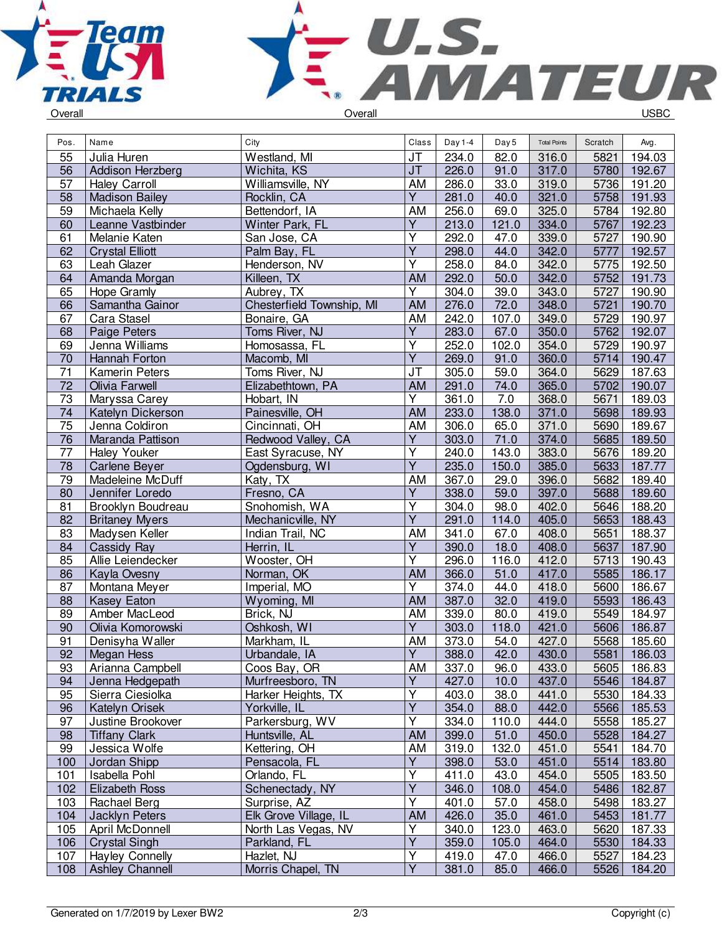



| Overall |  |
|---------|--|
|         |  |

| Pos.            | Name                   | City                      | Class                   | Day 1-4 | Day 5 | <b>Total Points</b> | Scratch | Avg.   |
|-----------------|------------------------|---------------------------|-------------------------|---------|-------|---------------------|---------|--------|
| 55              | Julia Huren            | Westland, MI              | <b>JT</b>               | 234.0   | 82.0  | 316.0               | 5821    | 194.03 |
| 56              | Addison Herzberg       | Wichita, KS               | J <sub>T</sub>          | 226.0   | 91.0  | 317.0               | 5780    | 192.67 |
| 57              | <b>Haley Carroll</b>   | Williamsville, NY         | AM                      | 286.0   | 33.0  | 319.0               | 5736    | 191.20 |
| 58              | <b>Madison Bailey</b>  | Rocklin, CA               | Υ                       | 281.0   | 40.0  | 321.0               | 5758    | 191.93 |
| 59              | Michaela Kelly         | Bettendorf, IA            | AM                      | 256.0   | 69.0  | 325.0               | 5784    | 192.80 |
| 60              | Leanne Vastbinder      | Winter Park, FL           | $\overline{Y}$          | 213.0   | 121.0 | 334.0               | 5767    | 192.23 |
| 61              | Melanie Katen          | San Jose, CA              | $\overline{\mathsf{Y}}$ | 292.0   | 47.0  | 339.0               | 5727    | 190.90 |
| 62              | <b>Crystal Elliott</b> | Palm Bay, FL              | Ÿ                       | 298.0   | 44.0  | 342.0               | 5777    | 192.57 |
| 63              | Leah Glazer            | Henderson, NV             | Υ                       | 258.0   | 84.0  | 342.0               | 5775    | 192.50 |
| 64              |                        |                           | AM                      | 292.0   | 50.0  | 342.0               | 5752    | 191.73 |
|                 | Amanda Morgan          | Killeen, TX               | $\overline{Y}$          |         |       |                     |         |        |
| 65              | Hope Gramly            | Aubrey, TX                |                         | 304.0   | 39.0  | 343.0               | 5727    | 190.90 |
| 66              | Samantha Gainor        | Chesterfield Township, MI | <b>AM</b>               | 276.0   | 72.0  | 348.0               | 5721    | 190.70 |
| 67              | Cara Stasel            | Bonaire, GA               | AM                      | 242.0   | 107.0 | 349.0               | 5729    | 190.97 |
| 68              | Paige Peters           | Toms River, NJ            | Υ                       | 283.0   | 67.0  | 350.0               | 5762    | 192.07 |
| 69              | Jenna Williams         | Homosassa, FL             | Ÿ                       | 252.0   | 102.0 | 354.0               | 5729    | 190.97 |
| 70              | Hannah Forton          | Macomb, MI                | $\overline{Y}$          | 269.0   | 91.0  | 360.0               | 5714    | 190.47 |
| $\overline{71}$ | Kamerin Peters         | Toms River, NJ            | JT                      | 305.0   | 59.0  | 364.0               | 5629    | 187.63 |
| 72              | Olivia Farwell         | Elizabethtown, PA         | AM                      | 291.0   | 74.0  | 365.0               | 5702    | 190.07 |
| 73              | Maryssa Carey          | Hobart, IN                | $\overline{\mathsf{Y}}$ | 361.0   | 7.0   | 368.0               | 5671    | 189.03 |
| 74              | Katelyn Dickerson      | Painesville, OH           | AM                      | 233.0   | 138.0 | 371.0               | 5698    | 189.93 |
| 75              | Jenna Coldiron         | Cincinnati, OH            | AM                      | 306.0   | 65.0  | 371.0               | 5690    | 189.67 |
| $\overline{76}$ | Maranda Pattison       | Redwood Valley, CA        | $\overline{Y}$          | 303.0   | 71.0  | 374.0               | 5685    | 189.50 |
| $\overline{77}$ | <b>Haley Youker</b>    | East Syracuse, NY         | Υ                       | 240.0   | 143.0 | 383.0               | 5676    | 189.20 |
| 78              | Carlene Beyer          | Ogdensburg, WI            | $\overline{Y}$          | 235.0   | 150.0 | 385.0               | 5633    | 187.77 |
| 79              | Madeleine McDuff       | Katy, TX                  | AM                      | 367.0   | 29.0  | 396.0               | 5682    | 189.40 |
| 80              | Jennifer Loredo        | Fresno, CA                | Υ                       | 338.0   | 59.0  | 397.0               | 5688    | 189.60 |
| 81              | Brooklyn Boudreau      | Snohomish, WA             | $\overline{\mathsf{Y}}$ | 304.0   | 98.0  | 402.0               | 5646    | 188.20 |
| 82              | <b>Britaney Myers</b>  | Mechanicville, NY         | $\overline{\mathsf{Y}}$ | 291.0   | 114.0 | 405.0               | 5653    | 188.43 |
| 83              | Madysen Keller         | Indian Trail, NC          | AM                      | 341.0   | 67.0  | 408.0               | 5651    | 188.37 |
| 84              | Cassidy Ray            | Herrin, IL                | $\overline{Y}$          | 390.0   | 18.0  | 408.0               | 5637    | 187.90 |
| 85              | Allie Leiendecker      | Wooster, OH               | Y                       | 296.0   | 116.0 | 412.0               | 5713    | 190.43 |
| 86              | Kayla Ovesny           | Norman, OK                | AM                      | 366.0   | 51.0  | 417.0               | 5585    | 186.17 |
| 87              | Montana Meyer          | Imperial, MO              | Υ                       | 374.0   | 44.0  | 418.0               | 5600    | 186.67 |
| 88              | <b>Kasey Eaton</b>     | Wyoming, MI               | AM                      | 387.0   | 32.0  | 419.0               | 5593    | 186.43 |
| 89              | Amber MacLeod          | Brick, NJ                 | AM                      | 339.0   | 80.0  | 419.0               | 5549    | 184.97 |
| 90              | Olivia Komorowski      | Oshkosh, WI               | $\overline{Y}$          | 303.0   | 118.0 | 421.0               | 5606    | 186.87 |
| 91              | Denisyha Waller        | Markham, IL               | AM                      | 373.0   | 54.0  | 427.0               | 5568    | 185.60 |
| 92              | Megan Hess             | Urbandale, IA             | $\overline{Y}$          | 388.0   | 42.0  | 430.0               | 5581    | 186.03 |
| 93              | Arianna Campbell       | Coos Bay, OR              | AM                      | 337.0   | 96.0  | 433.0               | 5605    | 186.83 |
| 94              | Jenna Hedgepath        | Murfreesboro, TN          | Y                       | 427.0   | 10.0  | 437.0               | 5546    | 184.87 |
| 95              | Sierra Ciesiolka       | Harker Heights, TX        | Υ                       | 403.0   | 38.0  | 441.0               | 5530    | 184.33 |
| 96              | Katelyn Orisek         | Yorkville, IL             | Y                       | 354.0   | 88.0  | 442.0               | 5566    | 185.53 |
| 97              | Justine Brookover      | Parkersburg, WV           | Υ                       | 334.0   | 110.0 | 444.0               | 5558    | 185.27 |
| 98              | <b>Tiffany Clark</b>   | Huntsville, AL            | <b>AM</b>               | 399.0   | 51.0  | 450.0               | 5528    | 184.27 |
| 99              | Jessica Wolfe          | Kettering, OH             | AM                      | 319.0   | 132.0 | 451.0               | 5541    | 184.70 |
| 100             | Jordan Shipp           | Pensacola, FL             | Υ                       | 398.0   | 53.0  | 451.0               | 5514    | 183.80 |
| 101             | Isabella Pohl          | Orlando, FL               | Υ                       | 411.0   | 43.0  | 454.0               | 5505    | 183.50 |
| 102             | <b>Elizabeth Ross</b>  | Schenectady, NY           | $\overline{\mathsf{Y}}$ | 346.0   | 108.0 | 454.0               | 5486    | 182.87 |
| 103             | Rachael Berg           | Surprise, AZ              | $\overline{\mathsf{Y}}$ | 401.0   | 57.0  | 458.0               | 5498    | 183.27 |
| 104             | Jacklyn Peters         | Elk Grove Village, IL     | AM                      | 426.0   | 35.0  | 461.0               | 5453    | 181.77 |
| 105             | April McDonnell        | North Las Vegas, NV       | Υ                       | 340.0   | 123.0 | 463.0               | 5620    | 187.33 |
| 106             | <b>Crystal Singh</b>   | Parkland, FL              | Υ                       | 359.0   | 105.0 | 464.0               | 5530    | 184.33 |
| 107             | <b>Hayley Connelly</b> | Hazlet, NJ                | Υ                       | 419.0   | 47.0  | 466.0               | 5527    | 184.23 |
| 108             | <b>Ashley Channell</b> | Morris Chapel, TN         | $\overline{\mathsf{Y}}$ | 381.0   | 85.0  | 466.0               | 5526    | 184.20 |